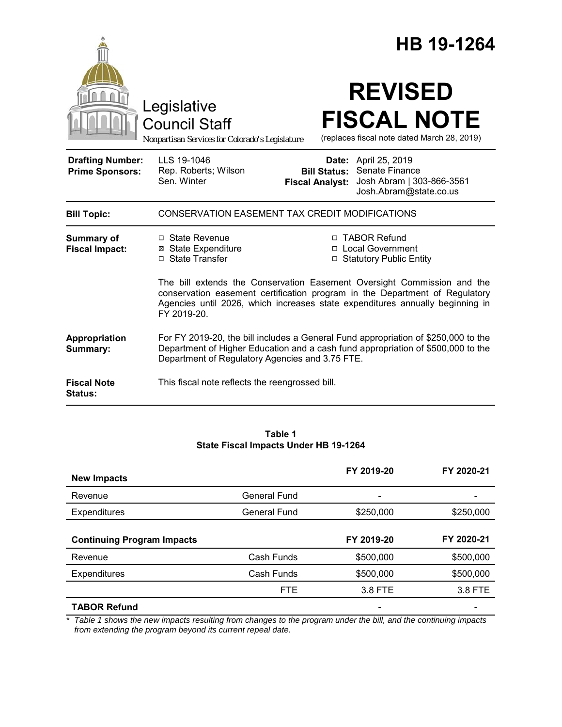|                                                   |                                                                                                                                                                                                                           |                                               | HB 19-1264                                                                                                                                                                                                                                                                                                   |
|---------------------------------------------------|---------------------------------------------------------------------------------------------------------------------------------------------------------------------------------------------------------------------------|-----------------------------------------------|--------------------------------------------------------------------------------------------------------------------------------------------------------------------------------------------------------------------------------------------------------------------------------------------------------------|
|                                                   | Legislative<br><b>Council Staff</b><br>Nonpartisan Services for Colorado's Legislature                                                                                                                                    |                                               | <b>REVISED</b><br><b>FISCAL NOTE</b><br>(replaces fiscal note dated March 28, 2019)                                                                                                                                                                                                                          |
| <b>Drafting Number:</b><br><b>Prime Sponsors:</b> | LLS 19-1046<br>Rep. Roberts; Wilson<br>Sen. Winter                                                                                                                                                                        | <b>Bill Status:</b><br><b>Fiscal Analyst:</b> | <b>Date:</b> April 25, 2019<br>Senate Finance<br>Josh Abram   303-866-3561<br>Josh.Abram@state.co.us                                                                                                                                                                                                         |
| <b>Bill Topic:</b>                                | CONSERVATION EASEMENT TAX CREDIT MODIFICATIONS                                                                                                                                                                            |                                               |                                                                                                                                                                                                                                                                                                              |
| Summary of<br><b>Fiscal Impact:</b>               | $\Box$ State Revenue<br><b>⊠</b> State Expenditure<br>□ State Transfer                                                                                                                                                    |                                               | □ TABOR Refund<br>□ Local Government<br>□ Statutory Public Entity<br>The bill extends the Conservation Easement Oversight Commission and the<br>conservation easement certification program in the Department of Regulatory<br>Agencies until 2026, which increases state expenditures annually beginning in |
|                                                   | FY 2019-20.                                                                                                                                                                                                               |                                               |                                                                                                                                                                                                                                                                                                              |
| Appropriation<br>Summary:                         | For FY 2019-20, the bill includes a General Fund appropriation of \$250,000 to the<br>Department of Higher Education and a cash fund appropriation of \$500,000 to the<br>Department of Regulatory Agencies and 3.75 FTE. |                                               |                                                                                                                                                                                                                                                                                                              |
| <b>Fiscal Note</b><br><b>Status:</b>              | This fiscal note reflects the reengrossed bill.                                                                                                                                                                           |                                               |                                                                                                                                                                                                                                                                                                              |

#### **Table 1 State Fiscal Impacts Under HB 19-1264**

| <b>New Impacts</b>                |                     | FY 2019-20 | FY 2020-21 |
|-----------------------------------|---------------------|------------|------------|
| Revenue                           | <b>General Fund</b> | -          |            |
| Expenditures                      | <b>General Fund</b> | \$250,000  | \$250,000  |
| <b>Continuing Program Impacts</b> |                     | FY 2019-20 | FY 2020-21 |
| Revenue                           | Cash Funds          | \$500,000  | \$500,000  |
| <b>Expenditures</b>               | Cash Funds          | \$500,000  | \$500,000  |
|                                   | <b>FTE</b>          | 3.8 FTE    | 3.8 FTE    |
| <b>TABOR Refund</b>               |                     |            |            |

*\* Table 1 shows the new impacts resulting from changes to the program under the bill, and the continuing impacts from extending the program beyond its current repeal date.*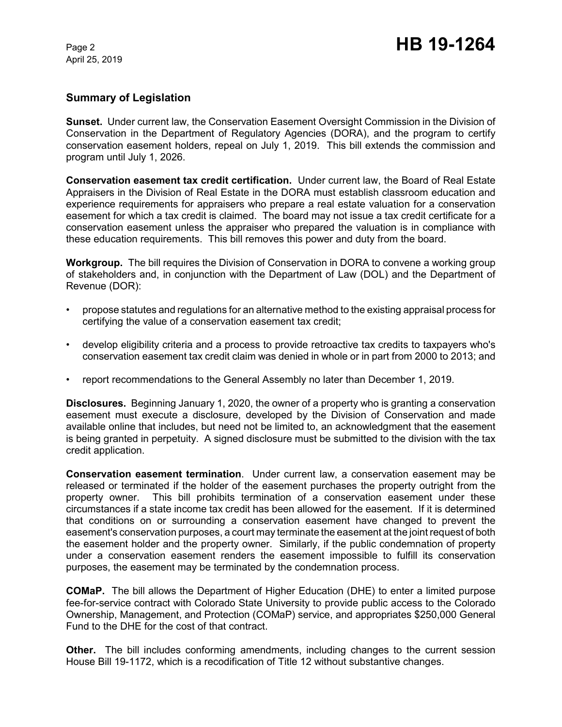April 25, 2019

## **Summary of Legislation**

**Sunset.** Under current law, the Conservation Easement Oversight Commission in the Division of Conservation in the Department of Regulatory Agencies (DORA), and the program to certify conservation easement holders, repeal on July 1, 2019. This bill extends the commission and program until July 1, 2026.

**Conservation easement tax credit certification.** Under current law, the Board of Real Estate Appraisers in the Division of Real Estate in the DORA must establish classroom education and experience requirements for appraisers who prepare a real estate valuation for a conservation easement for which a tax credit is claimed. The board may not issue a tax credit certificate for a conservation easement unless the appraiser who prepared the valuation is in compliance with these education requirements. This bill removes this power and duty from the board.

**Workgroup.** The bill requires the Division of Conservation in DORA to convene a working group of stakeholders and, in conjunction with the Department of Law (DOL) and the Department of Revenue (DOR):

- propose statutes and regulations for an alternative method to the existing appraisal process for certifying the value of a conservation easement tax credit;
- develop eligibility criteria and a process to provide retroactive tax credits to taxpayers who's conservation easement tax credit claim was denied in whole or in part from 2000 to 2013; and
- report recommendations to the General Assembly no later than December 1, 2019.

**Disclosures.** Beginning January 1, 2020, the owner of a property who is granting a conservation easement must execute a disclosure, developed by the Division of Conservation and made available online that includes, but need not be limited to, an acknowledgment that the easement is being granted in perpetuity. A signed disclosure must be submitted to the division with the tax credit application.

**Conservation easement termination**. Under current law, a conservation easement may be released or terminated if the holder of the easement purchases the property outright from the property owner. This bill prohibits termination of a conservation easement under these circumstances if a state income tax credit has been allowed for the easement. If it is determined that conditions on or surrounding a conservation easement have changed to prevent the easement's conservation purposes, a court may terminate the easement at the joint request of both the easement holder and the property owner. Similarly, if the public condemnation of property under a conservation easement renders the easement impossible to fulfill its conservation purposes, the easement may be terminated by the condemnation process.

**COMaP.** The bill allows the Department of Higher Education (DHE) to enter a limited purpose fee-for-service contract with Colorado State University to provide public access to the Colorado Ownership, Management, and Protection (COMaP) service, and appropriates \$250,000 General Fund to the DHE for the cost of that contract.

**Other.** The bill includes conforming amendments, including changes to the current session House Bill 19-1172, which is a recodification of Title 12 without substantive changes.